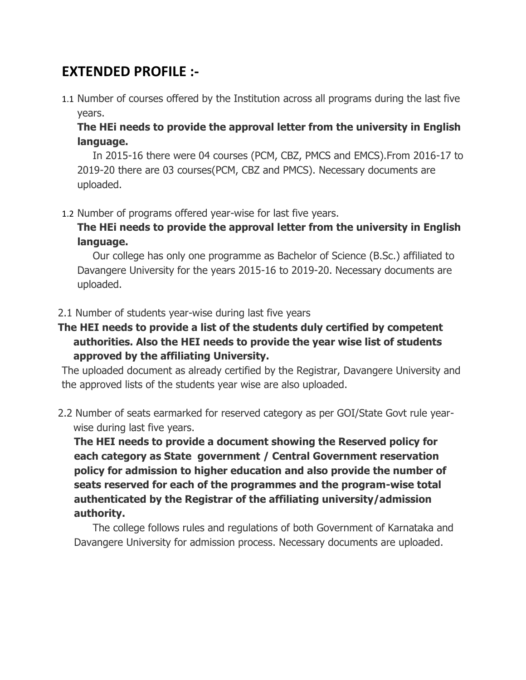# **EXTENDED PROFILE :-**

1.1 Number of courses offered by the Institution across all programs during the last five years.

**The HEi needs to provide the approval letter from the university in English language.**

In 2015-16 there were 04 courses (PCM, CBZ, PMCS and EMCS).From 2016-17 to 2019-20 there are 03 courses(PCM, CBZ and PMCS). Necessary documents are uploaded.

1.2 Number of programs offered year-wise for last five years.

**The HEi needs to provide the approval letter from the university in English language.**

Our college has only one programme as Bachelor of Science (B.Sc.) affiliated to Davangere University for the years 2015-16 to 2019-20. Necessary documents are uploaded.

#### 2.1 Number of students year-wise during last five years

**The HEI needs to provide a list of the students duly certified by competent authorities. Also the HEI needs to provide the year wise list of students approved by the affiliating University.**

The uploaded document as already certified by the Registrar, Davangere University and the approved lists of the students year wise are also uploaded.

2.2 Number of seats earmarked for reserved category as per GOI/State Govt rule yearwise during last five years.

**The HEI needs to provide a document showing the Reserved policy for each category as State government / Central Government reservation policy for admission to higher education and also provide the number of seats reserved for each of the programmes and the program-wise total authenticated by the Registrar of the affiliating university/admission authority.**

The college follows rules and regulations of both Government of Karnataka and Davangere University for admission process. Necessary documents are uploaded.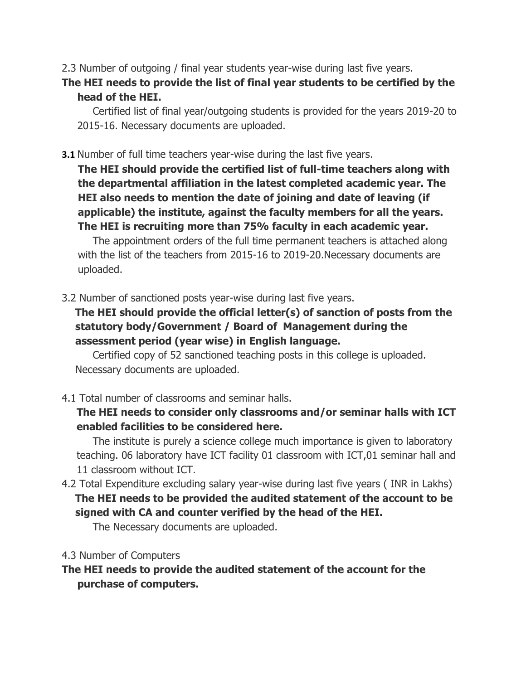2.3 Number of outgoing / final year students year-wise during last five years.

# **The HEI needs to provide the list of final year students to be certified by the head of the HEI.**

Certified list of final year/outgoing students is provided for the years 2019-20 to 2015-16. Necessary documents are uploaded.

## **3.1** Number of full time teachers year-wise during the last five years.

**The HEI should provide the certified list of full-time teachers along with the departmental affiliation in the latest completed academic year. The HEI also needs to mention the date of joining and date of leaving (if applicable) the institute, against the faculty members for all the years. The HEI is recruiting more than 75% faculty in each academic year.**

The appointment orders of the full time permanent teachers is attached along with the list of the teachers from 2015-16 to 2019-20.Necessary documents are uploaded.

3.2 Number of sanctioned posts year-wise during last five years.

**The HEI should provide the official letter(s) of sanction of posts from the statutory body/Government / Board of Management during the assessment period (year wise) in English language.**

Certified copy of 52 sanctioned teaching posts in this college is uploaded. Necessary documents are uploaded.

4.1 Total number of classrooms and seminar halls.

# **The HEI needs to consider only classrooms and/or seminar halls with ICT enabled facilities to be considered here.**

The institute is purely a science college much importance is given to laboratory teaching. 06 laboratory have ICT facility 01 classroom with ICT,01 seminar hall and 11 classroom without ICT.

4.2 Total Expenditure excluding salary year-wise during last five years ( INR in Lakhs) **The HEI needs to be provided the audited statement of the account to be signed with CA and counter verified by the head of the HEI.**

The Necessary documents are uploaded.

## 4.3 Number of Computers

**The HEI needs to provide the audited statement of the account for the purchase of computers.**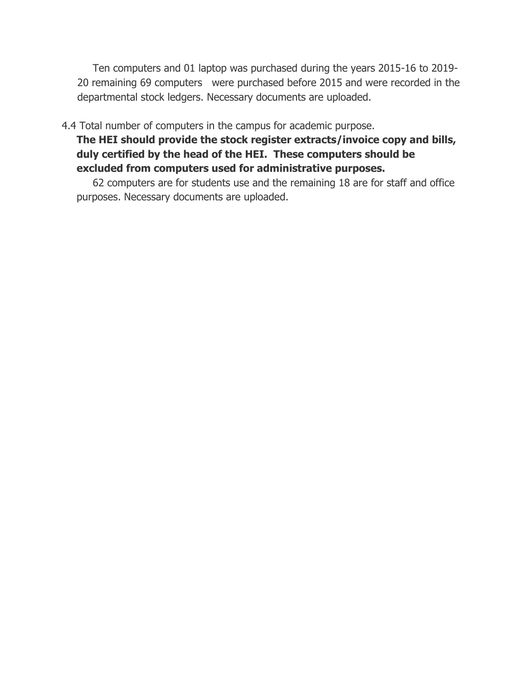Ten computers and 01 laptop was purchased during the years 2015-16 to 2019- 20 remaining 69 computers were purchased before 2015 and were recorded in the departmental stock ledgers. Necessary documents are uploaded.

4.4 Total number of computers in the campus for academic purpose.

**The HEI should provide the stock register extracts/invoice copy and bills, duly certified by the head of the HEI. These computers should be excluded from computers used for administrative purposes.**

62 computers are for students use and the remaining 18 are for staff and office purposes. Necessary documents are uploaded.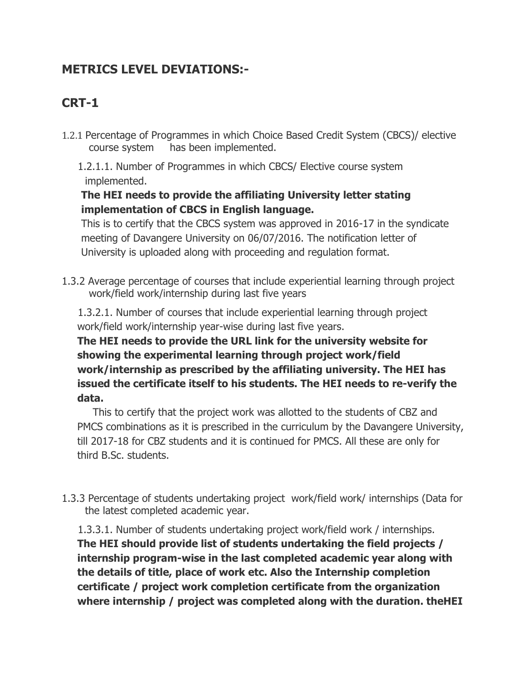# **METRICS LEVEL DEVIATIONS:-**

# **CRT-1**

- 1.2.1 Percentage of Programmes in which Choice Based Credit System (CBCS)/ elective course system has been implemented.
	- 1.2.1.1. Number of Programmes in which CBCS/ Elective course system implemented.

# **The HEI needs to provide the affiliating University letter stating implementation of CBCS in English language.**

This is to certify that the CBCS system was approved in 2016-17 in the syndicate meeting of Davangere University on 06/07/2016. The notification letter of University is uploaded along with proceeding and regulation format.

1.3.2 Average percentage of courses that include experiential learning through project work/field work/internship during last five years

 1.3.2.1. Number of courses that include experiential learning through project work/field work/internship year-wise during last five years.

**The HEI needs to provide the URL link for the university website for showing the experimental learning through project work/field work/internship as prescribed by the affiliating university. The HEI has issued the certificate itself to his students. The HEI needs to re-verify the data.**

This to certify that the project work was allotted to the students of CBZ and PMCS combinations as it is prescribed in the curriculum by the Davangere University, till 2017-18 for CBZ students and it is continued for PMCS. All these are only for third B.Sc. students.

1.3.3 Percentage of students undertaking project work/field work/ internships (Data for the latest completed academic year.

 1.3.3.1. Number of students undertaking project work/field work / internships. **The HEI should provide list of students undertaking the field projects / internship program-wise in the last completed academic year along with the details of title, place of work etc. Also the Internship completion certificate / project work completion certificate from the organization where internship / project was completed along with the duration. theHEI**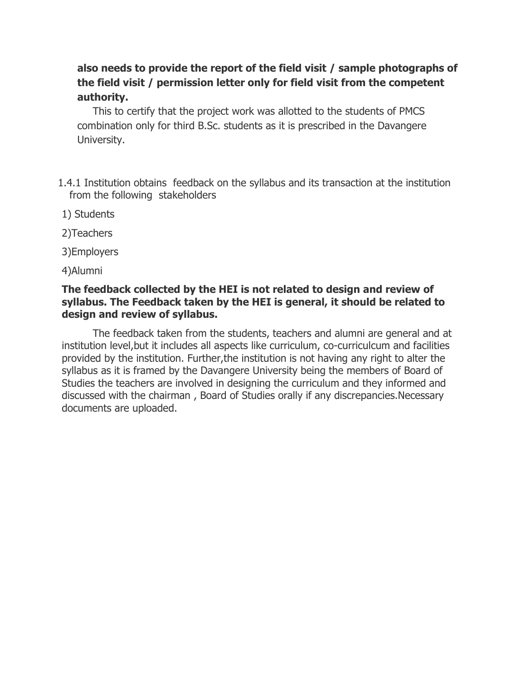# **also needs to provide the report of the field visit / sample photographs of the field visit / permission letter only for field visit from the competent authority.**

This to certify that the project work was allotted to the students of PMCS combination only for third B.Sc. students as it is prescribed in the Davangere University.

- 1.4.1 Institution obtains feedback on the syllabus and its transaction at the institution from the following stakeholders
- 1) Students
- 2)Teachers
- 3)Employers
- 4)Alumni

### **The feedback collected by the HEI is not related to design and review of syllabus. The Feedback taken by the HEI is general, it should be related to design and review of syllabus.**

The feedback taken from the students, teachers and alumni are general and at institution level,but it includes all aspects like curriculum, co-curriculcum and facilities provided by the institution. Further,the institution is not having any right to alter the syllabus as it is framed by the Davangere University being the members of Board of Studies the teachers are involved in designing the curriculum and they informed and discussed with the chairman , Board of Studies orally if any discrepancies.Necessary documents are uploaded.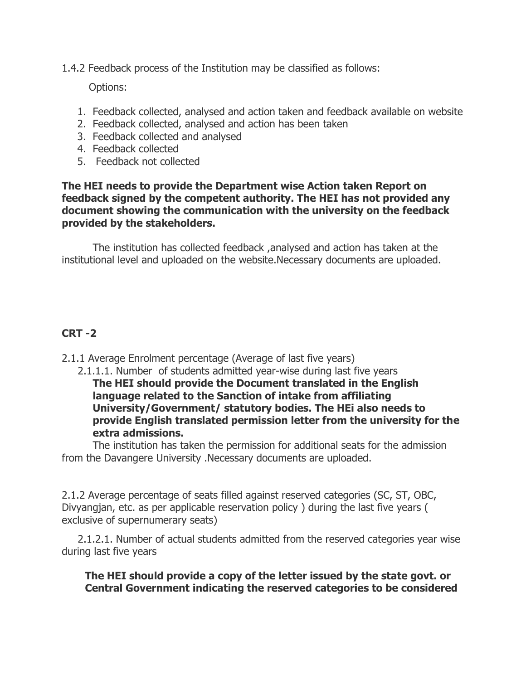1.4.2 Feedback process of the Institution may be classified as follows:

Options:

- 1. Feedback collected, analysed and action taken and feedback available on website
- 2. Feedback collected, analysed and action has been taken
- 3. Feedback collected and analysed
- 4. Feedback collected
- 5. Feedback not collected

#### **The HEI needs to provide the Department wise Action taken Report on feedback signed by the competent authority. The HEI has not provided any document showing the communication with the university on the feedback provided by the stakeholders.**

The institution has collected feedback ,analysed and action has taken at the institutional level and uploaded on the website.Necessary documents are uploaded.

### **CRT -2**

- 2.1.1 Average Enrolment percentage (Average of last five years)
	- 2.1.1.1. Number of students admitted year-wise during last five years **The HEI should provide the Document translated in the English language related to the Sanction of intake from affiliating University/Government/ statutory bodies. The HEi also needs to provide English translated permission letter from the university for the extra admissions.**

The institution has taken the permission for additional seats for the admission from the Davangere University .Necessary documents are uploaded.

2.1.2 Average percentage of seats filled against reserved categories (SC, ST, OBC, Divyangjan, etc. as per applicable reservation policy ) during the last five years ( exclusive of supernumerary seats)

 2.1.2.1. Number of actual students admitted from the reserved categories year wise during last five years

**The HEI should provide a copy of the letter issued by the state govt. or Central Government indicating the reserved categories to be considered**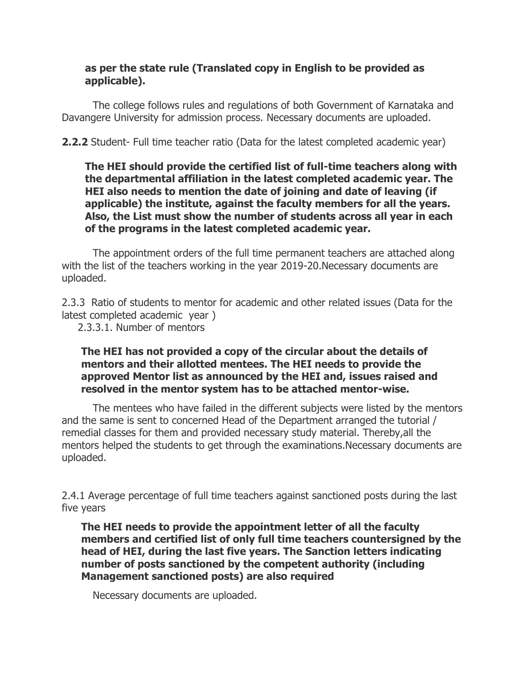### **as per the state rule (Translated copy in English to be provided as applicable).**

The college follows rules and regulations of both Government of Karnataka and Davangere University for admission process. Necessary documents are uploaded.

**2.2.2** Student- Full time teacher ratio (Data for the latest completed academic year)

**The HEI should provide the certified list of full-time teachers along with the departmental affiliation in the latest completed academic year. The HEI also needs to mention the date of joining and date of leaving (if applicable) the institute, against the faculty members for all the years. Also, the List must show the number of students across all year in each of the programs in the latest completed academic year.**

The appointment orders of the full time permanent teachers are attached along with the list of the teachers working in the year 2019-20.Necessary documents are uploaded.

2.3.3 Ratio of students to mentor for academic and other related issues (Data for the latest completed academic year )

2.3.3.1. Number of mentors

#### **The HEI has not provided a copy of the circular about the details of mentors and their allotted mentees. The HEI needs to provide the approved Mentor list as announced by the HEI and, issues raised and resolved in the mentor system has to be attached mentor-wise.**

The mentees who have failed in the different subjects were listed by the mentors and the same is sent to concerned Head of the Department arranged the tutorial / remedial classes for them and provided necessary study material. Thereby,all the mentors helped the students to get through the examinations.Necessary documents are uploaded.

2.4.1 Average percentage of full time teachers against sanctioned posts during the last five years

**The HEI needs to provide the appointment letter of all the faculty members and certified list of only full time teachers countersigned by the head of HEI, during the last five years. The Sanction letters indicating number of posts sanctioned by the competent authority (including Management sanctioned posts) are also required**

Necessary documents are uploaded.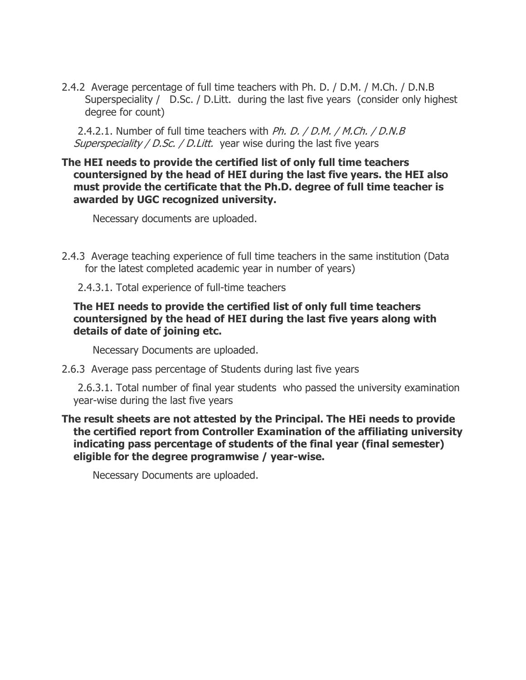2.4.2 Average percentage of full time teachers with Ph. D. / D.M. / M.Ch. / D.N.B Superspeciality / D.Sc. / D.Litt. during the last five years (consider only highest degree for count)

2.4.2.1. Number of full time teachers with *Ph. D. / D.M. / M.Ch. / D.N.B* Superspeciality / D.Sc. / D.Litt. year wise during the last five years

#### **The HEI needs to provide the certified list of only full time teachers countersigned by the head of HEI during the last five years. the HEI also must provide the certificate that the Ph.D. degree of full time teacher is awarded by UGC recognized university.**

Necessary documents are uploaded.

- 2.4.3 Average teaching experience of full time teachers in the same institution (Data for the latest completed academic year in number of years)
	- 2.4.3.1. Total experience of full-time teachers

### **The HEI needs to provide the certified list of only full time teachers countersigned by the head of HEI during the last five years along with details of date of joining etc.**

Necessary Documents are uploaded.

2.6.3 Average pass percentage of Students during last five years

 2.6.3.1. Total number of final year students who passed the university examination year-wise during the last five years

#### **The result sheets are not attested by the Principal. The HEi needs to provide the certified report from Controller Examination of the affiliating university indicating pass percentage of students of the final year (final semester) eligible for the degree programwise / year-wise.**

Necessary Documents are uploaded.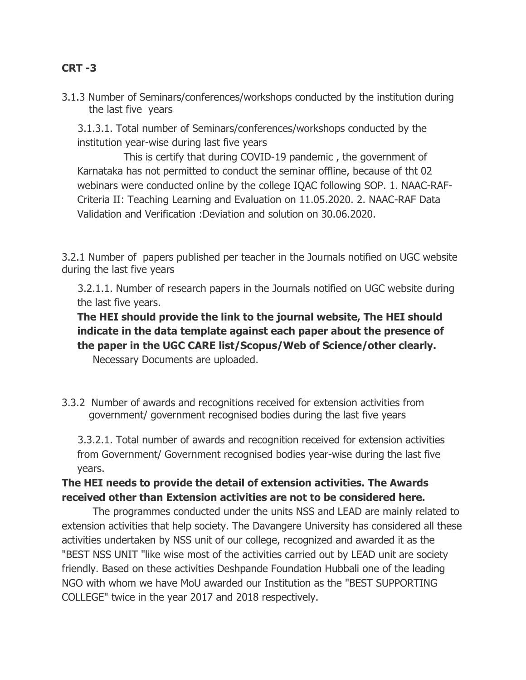## **CRT -3**

3.1.3 Number of Seminars/conferences/workshops conducted by the institution during the last five years

 3.1.3.1. Total number of Seminars/conferences/workshops conducted by the institution year-wise during last five years

This is certify that during COVID-19 pandemic , the government of Karnataka has not permitted to conduct the seminar offline, because of tht 02 webinars were conducted online by the college IQAC following SOP. 1. NAAC-RAF-Criteria II: Teaching Learning and Evaluation on 11.05.2020. 2. NAAC-RAF Data Validation and Verification :Deviation and solution on 30.06.2020.

3.2.1 Number of papers published per teacher in the Journals notified on UGC website during the last five years

 3.2.1.1. Number of research papers in the Journals notified on UGC website during the last five years.

**The HEI should provide the link to the journal website, The HEI should indicate in the data template against each paper about the presence of the paper in the UGC CARE list/Scopus/Web of Science/other clearly.**

Necessary Documents are uploaded.

3.3.2 Number of awards and recognitions received for extension activities from government/ government recognised bodies during the last five years

 3.3.2.1. Total number of awards and recognition received for extension activities from Government/ Government recognised bodies year-wise during the last five years.

### **The HEI needs to provide the detail of extension activities. The Awards received other than Extension activities are not to be considered here.**

The programmes conducted under the units NSS and LEAD are mainly related to extension activities that help society. The Davangere University has considered all these activities undertaken by NSS unit of our college, recognized and awarded it as the "BEST NSS UNIT "like wise most of the activities carried out by LEAD unit are society friendly. Based on these activities Deshpande Foundation Hubbali one of the leading NGO with whom we have MoU awarded our Institution as the "BEST SUPPORTING COLLEGE" twice in the year 2017 and 2018 respectively.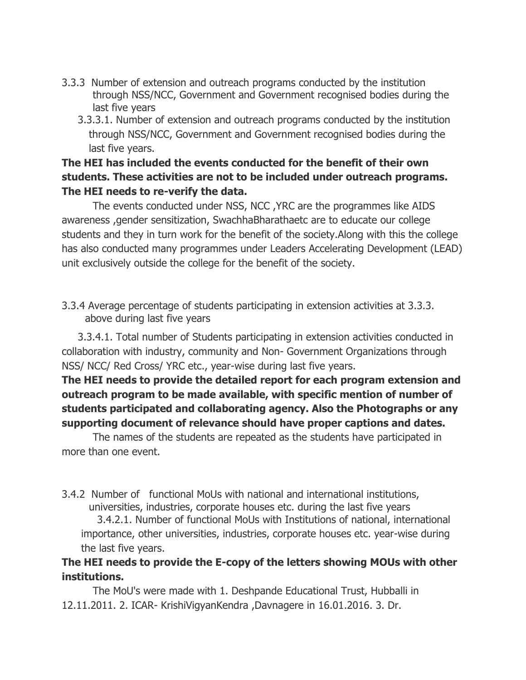- 3.3.3 Number of extension and outreach programs conducted by the institution through NSS/NCC, Government and Government recognised bodies during the last five years
	- 3.3.3.1. Number of extension and outreach programs conducted by the institution through NSS/NCC, Government and Government recognised bodies during the last five years.

# **The HEI has included the events conducted for the benefit of their own students. These activities are not to be included under outreach programs. The HEI needs to re-verify the data.**

The events conducted under NSS, NCC ,YRC are the programmes like AIDS awareness ,gender sensitization, SwachhaBharathaetc are to educate our college students and they in turn work for the benefit of the society.Along with this the college has also conducted many programmes under Leaders Accelerating Development (LEAD) unit exclusively outside the college for the benefit of the society.

3.3.4 Average percentage of students participating in extension activities at 3.3.3. above during last five years

 3.3.4.1. Total number of Students participating in extension activities conducted in collaboration with industry, community and Non- Government Organizations through NSS/ NCC/ Red Cross/ YRC etc., year-wise during last five years.

# **The HEI needs to provide the detailed report for each program extension and outreach program to be made available, with specific mention of number of students participated and collaborating agency. Also the Photographs or any supporting document of relevance should have proper captions and dates.**

The names of the students are repeated as the students have participated in more than one event.

3.4.2 Number of functional MoUs with national and international institutions, universities, industries, corporate houses etc. during the last five years

 3.4.2.1. Number of functional MoUs with Institutions of national, international importance, other universities, industries, corporate houses etc. year-wise during the last five years.

# **The HEI needs to provide the E-copy of the letters showing MOUs with other institutions.**

The MoU's were made with 1. Deshpande Educational Trust, Hubballi in 12.11.2011. 2. ICAR- KrishiVigyanKendra ,Davnagere in 16.01.2016. 3. Dr.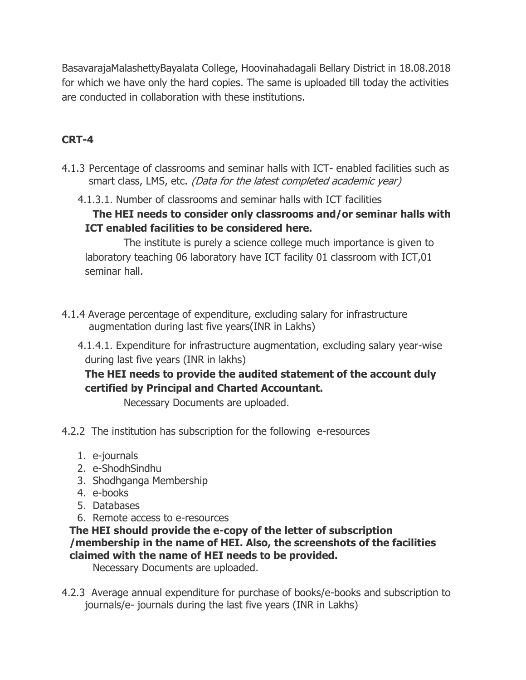BasavarajaMalashettyBayalata College, Hoovinahadagali Bellary District in 18.08.2018 for which we have only the hard copies. The same is uploaded till today the activities are conducted in collaboration with these institutions.

# **CRT-4**

- 4.1.3 Percentage of classrooms and seminar halls with ICT- enabled facilities such as smart class, LMS, etc. (Data for the latest completed academic year)
	- 4.1.3.1. Number of classrooms and seminar halls with ICT facilities

**The HEI needs to consider only classrooms and/or seminar halls with ICT enabled facilities to be considered here.**

The institute is purely a science college much importance is given to laboratory teaching 06 laboratory have ICT facility 01 classroom with ICT,01 seminar hall.

- 4.1.4 Average percentage of expenditure, excluding salary for infrastructure augmentation during last five years(INR in Lakhs)
	- 4.1.4.1. Expenditure for infrastructure augmentation, excluding salary year-wise during last five years (INR in lakhs)

# **The HEI needs to provide the audited statement of the account duly certified by Principal and Charted Accountant.**

Necessary Documents are uploaded.

- 4.2.2 The institution has subscription for the following e-resources
	- 1. e-journals
	- 2. e-ShodhSindhu
	- 3. Shodhganga Membership
	- 4. e-books
	- 5. Databases
	- 6. Remote access to e-resources

### **The HEI should provide the e-copy of the letter of subscription /membership in the name of HEI. Also, the screenshots of the facilities claimed with the name of HEI needs to be provided.**

Necessary Documents are uploaded.

4.2.3 Average annual expenditure for purchase of books/e-books and subscription to journals/e- journals during the last five years (INR in Lakhs)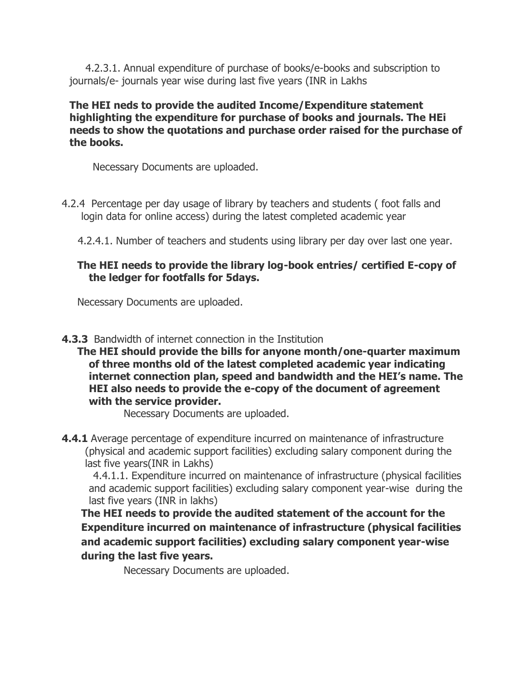4.2.3.1. Annual expenditure of purchase of books/e-books and subscription to journals/e- journals year wise during last five years (INR in Lakhs

**The HEI neds to provide the audited Income/Expenditure statement highlighting the expenditure for purchase of books and journals. The HEi needs to show the quotations and purchase order raised for the purchase of the books.**

Necessary Documents are uploaded.

4.2.4 Percentage per day usage of library by teachers and students ( foot falls and login data for online access) during the latest completed academic year

4.2.4.1. Number of teachers and students using library per day over last one year.

### **The HEI needs to provide the library log-book entries/ certified E-copy of the ledger for footfalls for 5days.**

Necessary Documents are uploaded.

#### **4.3.3** Bandwidth of internet connection in the Institution

**The HEI should provide the bills for anyone month/one-quarter maximum of three months old of the latest completed academic year indicating internet connection plan, speed and bandwidth and the HEI's name. The HEI also needs to provide the e-copy of the document of agreement with the service provider.**

Necessary Documents are uploaded.

**4.4.1** Average percentage of expenditure incurred on maintenance of infrastructure (physical and academic support facilities) excluding salary component during the last five years(INR in Lakhs)

 4.4.1.1. Expenditure incurred on maintenance of infrastructure (physical facilities and academic support facilities) excluding salary component year-wise during the last five years (INR in lakhs)

**The HEI needs to provide the audited statement of the account for the Expenditure incurred on maintenance of infrastructure (physical facilities and academic support facilities) excluding salary component year-wise during the last five years.**

Necessary Documents are uploaded.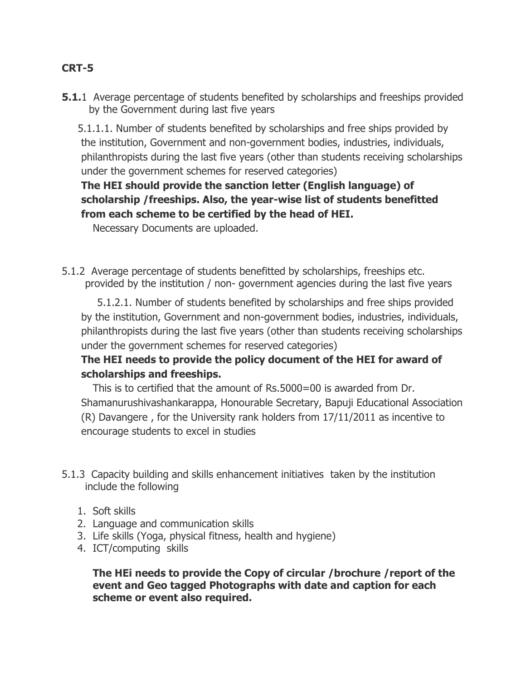### **CRT-5**

**5.1.**1 Average percentage of students benefited by scholarships and freeships provided by the Government during last five years

 5.1.1.1. Number of students benefited by scholarships and free ships provided by the institution, Government and non-government bodies, industries, individuals, philanthropists during the last five years (other than students receiving scholarships under the government schemes for reserved categories)

# **The HEI should provide the sanction letter (English language) of scholarship /freeships. Also, the year-wise list of students benefitted from each scheme to be certified by the head of HEI.**

Necessary Documents are uploaded.

5.1.2 Average percentage of students benefitted by scholarships, freeships etc. provided by the institution / non- government agencies during the last five years

 5.1.2.1. Number of students benefited by scholarships and free ships provided by the institution, Government and non-government bodies, industries, individuals, philanthropists during the last five years (other than students receiving scholarships under the government schemes for reserved categories)

# **The HEI needs to provide the policy document of the HEI for award of scholarships and freeships.**

This is to certified that the amount of Rs.5000=00 is awarded from Dr. Shamanurushivashankarappa, Honourable Secretary, Bapuji Educational Association (R) Davangere , for the University rank holders from 17/11/2011 as incentive to encourage students to excel in studies

- 5.1.3 Capacity building and skills enhancement initiatives taken by the institution include the following
	- 1. Soft skills
	- 2. Language and communication skills
	- 3. Life skills (Yoga, physical fitness, health and hygiene)
	- 4. ICT/computing skills

**The HEi needs to provide the Copy of circular /brochure /report of the event and Geo tagged Photographs with date and caption for each scheme or event also required.**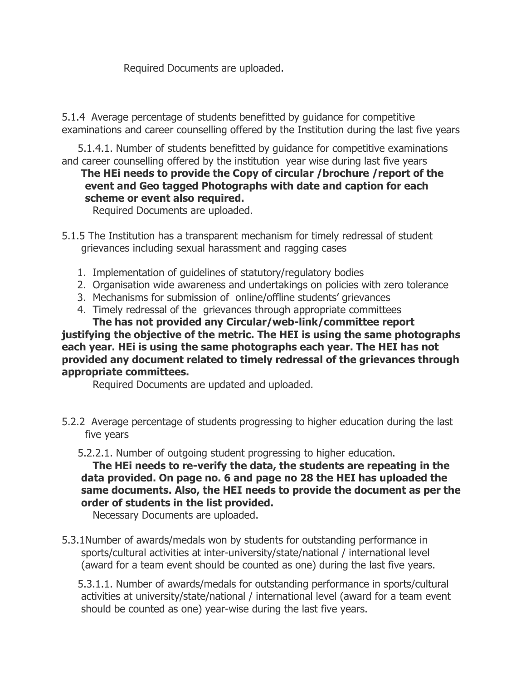Required Documents are uploaded.

5.1.4 Average percentage of students benefitted by guidance for competitive examinations and career counselling offered by the Institution during the last five years

 5.1.4.1. Number of students benefitted by guidance for competitive examinations and career counselling offered by the institution year wise during last five years

# **The HEi needs to provide the Copy of circular /brochure /report of the event and Geo tagged Photographs with date and caption for each scheme or event also required.**

Required Documents are uploaded.

- 5.1.5 The Institution has a transparent mechanism for timely redressal of student grievances including sexual harassment and ragging cases
	- 1. Implementation of guidelines of statutory/regulatory bodies
	- 2. Organisation wide awareness and undertakings on policies with zero tolerance
	- 3. Mechanisms for submission of online/offline students' grievances
	- 4. Timely redressal of the grievances through appropriate committees **The has not provided any Circular/web-link/committee report**

# **justifying the objective of the metric. The HEI is using the same photographs each year. HEi is using the same photographs each year. The HEI has not provided any document related to timely redressal of the grievances through appropriate committees.**

Required Documents are updated and uploaded.

- 5.2.2 Average percentage of students progressing to higher education during the last five years
	- 5.2.2.1. Number of outgoing student progressing to higher education.

**The HEi needs to re-verify the data, the students are repeating in the data provided. On page no. 6 and page no 28 the HEI has uploaded the same documents. Also, the HEI needs to provide the document as per the order of students in the list provided.**

Necessary Documents are uploaded.

5.3.1Number of awards/medals won by students for outstanding performance in sports/cultural activities at inter-university/state/national / international level (award for a team event should be counted as one) during the last five years.

 5.3.1.1. Number of awards/medals for outstanding performance in sports/cultural activities at university/state/national / international level (award for a team event should be counted as one) year-wise during the last five years.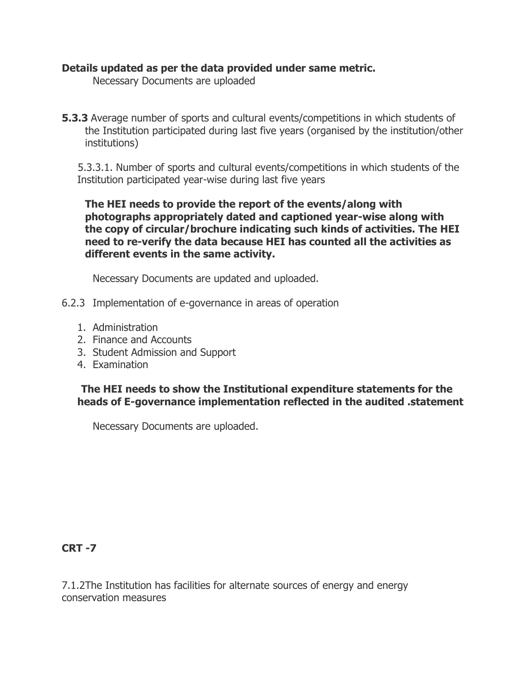#### **Details updated as per the data provided under same metric.**

Necessary Documents are uploaded

**5.3.3** Average number of sports and cultural events/competitions in which students of the Institution participated during last five years (organised by the institution/other institutions)

 5.3.3.1. Number of sports and cultural events/competitions in which students of the Institution participated year-wise during last five years

**The HEI needs to provide the report of the events/along with photographs appropriately dated and captioned year-wise along with the copy of circular/brochure indicating such kinds of activities. The HEI need to re-verify the data because HEI has counted all the activities as different events in the same activity.**

Necessary Documents are updated and uploaded.

- 6.2.3 Implementation of e-governance in areas of operation
	- 1. Administration
	- 2. Finance and Accounts
	- 3. Student Admission and Support
	- 4. Examination

**The HEI needs to show the Institutional expenditure statements for the heads of E-governance implementation reflected in the audited .statement**

Necessary Documents are uploaded.

### **CRT -7**

7.1.2The Institution has facilities for alternate sources of energy and energy conservation measures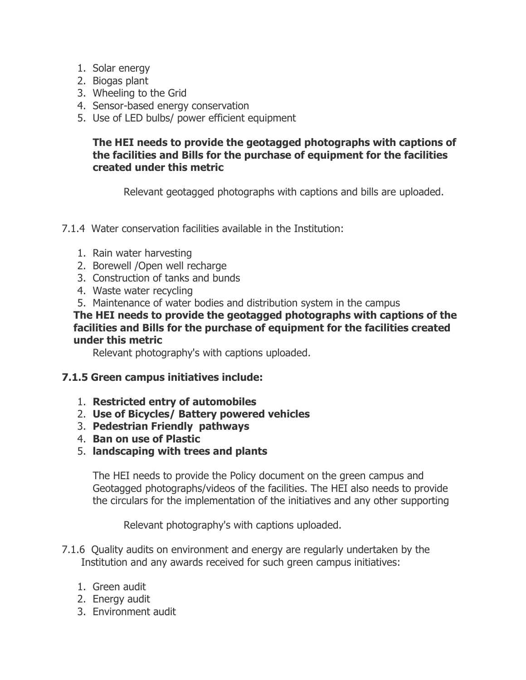- 1. Solar energy
- 2. Biogas plant
- 3. Wheeling to the Grid
- 4. Sensor-based energy conservation
- 5. Use of LED bulbs/ power efficient equipment

### **The HEI needs to provide the geotagged photographs with captions of the facilities and Bills for the purchase of equipment for the facilities created under this metric**

Relevant geotagged photographs with captions and bills are uploaded.

- 7.1.4 Water conservation facilities available in the Institution:
	- 1. Rain water harvesting
	- 2. Borewell / Open well recharge
	- 3. Construction of tanks and bunds
	- 4. Waste water recycling
	- 5. Maintenance of water bodies and distribution system in the campus

**The HEI needs to provide the geotagged photographs with captions of the facilities and Bills for the purchase of equipment for the facilities created under this metric**

Relevant photography's with captions uploaded.

### **7.1.5 Green campus initiatives include:**

- 1. **Restricted entry of automobiles**
- 2. **Use of Bicycles/ Battery powered vehicles**
- 3. **Pedestrian Friendly pathways**
- 4. **Ban on use of Plastic**
- 5. **landscaping with trees and plants**

The HEI needs to provide the Policy document on the green campus and Geotagged photographs/videos of the facilities. The HEI also needs to provide the circulars for the implementation of the initiatives and any other supporting

Relevant photography's with captions uploaded.

- 7.1.6 Quality audits on environment and energy are regularly undertaken by the Institution and any awards received for such green campus initiatives:
	- 1. Green audit
	- 2. Energy audit
	- 3. Environment audit